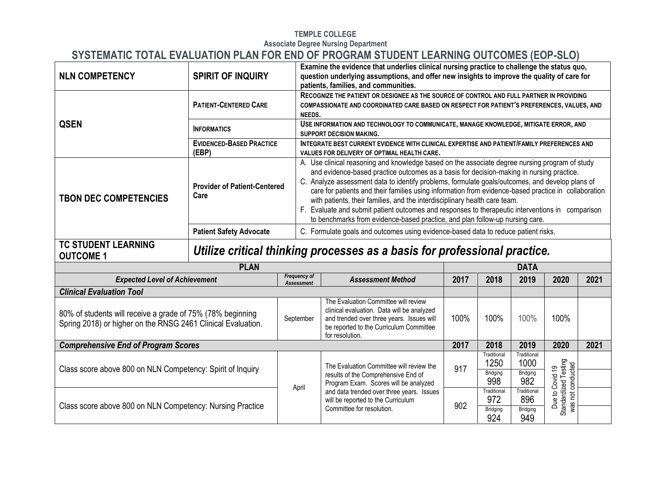#### **TEMPLE COLLEGE Associate Degree Nursing Department**

# **SYSTEMATIC TOTAL EVALUATION PLAN FOR END OF PROGRAM STUDENT LEARNING OUTCOMES (EOP-SLO)**

| <b>NLN COMPETENCY</b>                                                                                                      | <b>SPIRIT OF INQUIRY</b>                    |                                   | Examine the evidence that underlies clinical nursing practice to challenge the status quo,<br>question underlying assumptions, and offer new insights to improve the quality of care for<br>patients, families, and communities.                                                                                                                                                                                                                                                                                                                                                                                                                                        |      |                                 |                                        |                                           |      |
|----------------------------------------------------------------------------------------------------------------------------|---------------------------------------------|-----------------------------------|-------------------------------------------------------------------------------------------------------------------------------------------------------------------------------------------------------------------------------------------------------------------------------------------------------------------------------------------------------------------------------------------------------------------------------------------------------------------------------------------------------------------------------------------------------------------------------------------------------------------------------------------------------------------------|------|---------------------------------|----------------------------------------|-------------------------------------------|------|
|                                                                                                                            | <b>PATIENT-CENTERED CARE</b>                | NEEDS.                            | RECOGNIZE THE PATIENT OR DESIGNEE AS THE SOURCE OF CONTROL AND FULL PARTNER IN PROVIDING<br>COMPASSIONATE AND COORDINATED CARE BASED ON RESPECT FOR PATIENT'S PREFERENCES, VALUES, AND                                                                                                                                                                                                                                                                                                                                                                                                                                                                                  |      |                                 |                                        |                                           |      |
| <b>QSEN</b>                                                                                                                | <b>INFORMATICS</b>                          |                                   | USE INFORMATION AND TECHNOLOGY TO COMMUNICATE, MANAGE KNOWLEDGE, MITIGATE ERROR, AND<br><b>SUPPORT DECISION MAKING.</b>                                                                                                                                                                                                                                                                                                                                                                                                                                                                                                                                                 |      |                                 |                                        |                                           |      |
|                                                                                                                            | <b>EVIDENCED-BASED PRACTICE</b><br>(EBP)    |                                   | INTEGRATE BEST CURRENT EVIDENCE WITH CLINICAL EXPERTISE AND PATIENT/FAMILY PREFERENCES AND<br>VALUES FOR DELIVERY OF OPTIMAL HEALTH CARE.                                                                                                                                                                                                                                                                                                                                                                                                                                                                                                                               |      |                                 |                                        |                                           |      |
| <b>TBON DEC COMPETENCIES</b>                                                                                               | <b>Provider of Patient-Centered</b><br>Care |                                   | A. Use clinical reasoning and knowledge based on the associate degree nursing program of study<br>and evidence-based practice outcomes as a basis for decision-making in nursing practice.<br>C. Analyze assessment data to identify problems, formulate goals/outcomes, and develop plans of<br>care for patients and their families using information from evidence-based practice in collaboration<br>with patients, their families, and the interdisciplinary health care team.<br>F. Evaluate and submit patient outcomes and responses to therapeutic interventions in comparison<br>to benchmarks from evidence-based practice, and plan follow-up nursing care. |      |                                 |                                        |                                           |      |
|                                                                                                                            | <b>Patient Safety Advocate</b>              |                                   | C. Formulate goals and outcomes using evidence-based data to reduce patient risks.                                                                                                                                                                                                                                                                                                                                                                                                                                                                                                                                                                                      |      |                                 |                                        |                                           |      |
| <b>TC STUDENT LEARNING</b><br><b>OUTCOME 1</b>                                                                             |                                             |                                   | Utilize critical thinking processes as a basis for professional practice.                                                                                                                                                                                                                                                                                                                                                                                                                                                                                                                                                                                               |      |                                 |                                        |                                           |      |
|                                                                                                                            | <b>PLAN</b>                                 |                                   | <b>DATA</b>                                                                                                                                                                                                                                                                                                                                                                                                                                                                                                                                                                                                                                                             |      |                                 |                                        |                                           |      |
| <b>Expected Level of Achievement</b>                                                                                       |                                             | Frequency of<br><b>Assessment</b> | <b>Assessment Method</b>                                                                                                                                                                                                                                                                                                                                                                                                                                                                                                                                                                                                                                                | 2017 | 2018                            | 2019                                   | 2020                                      | 2021 |
| <b>Clinical Evaluation Tool</b>                                                                                            |                                             |                                   |                                                                                                                                                                                                                                                                                                                                                                                                                                                                                                                                                                                                                                                                         |      |                                 |                                        |                                           |      |
| 80% of students will receive a grade of 75% (78% beginning<br>Spring 2018) or higher on the RNSG 2461 Clinical Evaluation. |                                             | September                         | The Evaluation Committee will review<br>clinical evaluation. Data will be analyzed<br>and trended over three years. Issues will<br>be reported to the Curriculum Committee<br>for resolution.                                                                                                                                                                                                                                                                                                                                                                                                                                                                           | 100% | 100%                            | 100%                                   | 100%                                      |      |
| <b>Comprehensive End of Program Scores</b>                                                                                 |                                             |                                   |                                                                                                                                                                                                                                                                                                                                                                                                                                                                                                                                                                                                                                                                         | 2017 | 2018                            | 2019                                   | 2020                                      | 2021 |
| Class score above 800 on NLN Competency: Spirit of Inquiry                                                                 |                                             |                                   | The Evaluation Committee will review the<br>results of the Comprehensive End of                                                                                                                                                                                                                                                                                                                                                                                                                                                                                                                                                                                         | 917  | Traditional<br>1250<br>Bridging | Traditional<br>1000<br><b>Bridging</b> | Standardized Testing<br>was not conducted |      |
|                                                                                                                            |                                             | April                             | Program Exam. Scores will be analyzed                                                                                                                                                                                                                                                                                                                                                                                                                                                                                                                                                                                                                                   |      | 998                             | 982                                    | Covid 19                                  |      |
| Class score above 800 on NLN Competency: Nursing Practice                                                                  |                                             |                                   | and data trended over three years. Issues<br>will be reported to the Curriculum<br>Committee for resolution.                                                                                                                                                                                                                                                                                                                                                                                                                                                                                                                                                            | 902  | Traditional<br>972              | Traditional<br>896                     | Due to (                                  |      |
|                                                                                                                            |                                             |                                   |                                                                                                                                                                                                                                                                                                                                                                                                                                                                                                                                                                                                                                                                         |      | Bridging                        | <b>Bridging</b>                        |                                           |      |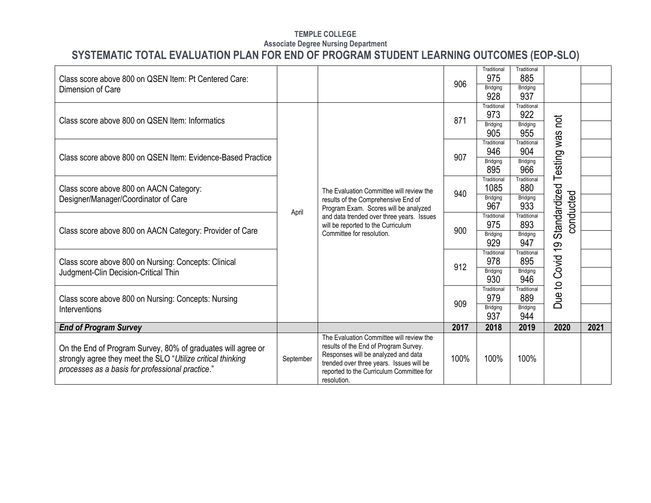| Class score above 800 on QSEN Item: Pt Centered Care:                                                                                                                           |           |                                                                                                                                                                                                                                 | 906  | Traditional<br>975                                                                                                                                                                                                                                                                                                                                                                                                                                                                                                                                                                                                                                                      | Traditional<br>885 |  |      |
|---------------------------------------------------------------------------------------------------------------------------------------------------------------------------------|-----------|---------------------------------------------------------------------------------------------------------------------------------------------------------------------------------------------------------------------------------|------|-------------------------------------------------------------------------------------------------------------------------------------------------------------------------------------------------------------------------------------------------------------------------------------------------------------------------------------------------------------------------------------------------------------------------------------------------------------------------------------------------------------------------------------------------------------------------------------------------------------------------------------------------------------------------|--------------------|--|------|
| Dimension of Care                                                                                                                                                               |           |                                                                                                                                                                                                                                 |      | 928                                                                                                                                                                                                                                                                                                                                                                                                                                                                                                                                                                                                                                                                     | 937                |  |      |
| Class score above 800 on QSEN Item: Informatics                                                                                                                                 |           |                                                                                                                                                                                                                                 | 871  | <b>Bridging</b><br>Bridging<br>Traditional<br>Traditional<br>973<br>922<br>not<br>Bridging<br>Bridging<br>905<br>955<br>Testing was<br>Traditional<br>Traditional<br>946<br>904<br><b>Bridging</b><br>Bridging<br>966<br>895<br>Traditional<br>Traditional<br>Standardized<br>1085<br>880<br>conducted<br>Bridging<br>Bridging<br>933<br>967<br>Traditional<br>Traditional<br>975<br>893<br>Bridging<br>Bridging<br>929<br>947<br><u>ლ</u><br>Traditional<br>Traditional<br>to Covid<br>895<br>978<br><b>Bridging</b><br>Bridging<br>930<br>946<br>Traditional<br>Traditional<br>Due<br>979<br>889<br><b>Bridging</b><br>Bridging<br>937<br>944<br>2018<br>2019<br>2020 |                    |  |      |
|                                                                                                                                                                                 |           |                                                                                                                                                                                                                                 |      |                                                                                                                                                                                                                                                                                                                                                                                                                                                                                                                                                                                                                                                                         |                    |  |      |
| Class score above 800 on QSEN Item: Evidence-Based Practice                                                                                                                     |           |                                                                                                                                                                                                                                 | 907  |                                                                                                                                                                                                                                                                                                                                                                                                                                                                                                                                                                                                                                                                         |                    |  |      |
|                                                                                                                                                                                 |           |                                                                                                                                                                                                                                 |      |                                                                                                                                                                                                                                                                                                                                                                                                                                                                                                                                                                                                                                                                         |                    |  |      |
| Class score above 800 on AACN Category:                                                                                                                                         |           | The Evaluation Committee will review the                                                                                                                                                                                        | 940  |                                                                                                                                                                                                                                                                                                                                                                                                                                                                                                                                                                                                                                                                         |                    |  |      |
| Designer/Manager/Coordinator of Care                                                                                                                                            |           | results of the Comprehensive End of<br>Program Exam. Scores will be analyzed                                                                                                                                                    |      |                                                                                                                                                                                                                                                                                                                                                                                                                                                                                                                                                                                                                                                                         |                    |  |      |
|                                                                                                                                                                                 | April     | and data trended over three years. Issues<br>will be reported to the Curriculum                                                                                                                                                 | 900  |                                                                                                                                                                                                                                                                                                                                                                                                                                                                                                                                                                                                                                                                         |                    |  |      |
| Class score above 800 on AACN Category: Provider of Care                                                                                                                        |           | Committee for resolution.                                                                                                                                                                                                       |      |                                                                                                                                                                                                                                                                                                                                                                                                                                                                                                                                                                                                                                                                         |                    |  |      |
| Class score above 800 on Nursing: Concepts: Clinical                                                                                                                            |           |                                                                                                                                                                                                                                 | 912  |                                                                                                                                                                                                                                                                                                                                                                                                                                                                                                                                                                                                                                                                         |                    |  |      |
| Judgment-Clin Decision-Critical Thin                                                                                                                                            |           |                                                                                                                                                                                                                                 |      |                                                                                                                                                                                                                                                                                                                                                                                                                                                                                                                                                                                                                                                                         |                    |  |      |
| Class score above 800 on Nursing: Concepts: Nursing                                                                                                                             |           |                                                                                                                                                                                                                                 |      |                                                                                                                                                                                                                                                                                                                                                                                                                                                                                                                                                                                                                                                                         |                    |  |      |
| Interventions                                                                                                                                                                   |           |                                                                                                                                                                                                                                 | 909  |                                                                                                                                                                                                                                                                                                                                                                                                                                                                                                                                                                                                                                                                         |                    |  |      |
| <b>End of Program Survey</b>                                                                                                                                                    |           |                                                                                                                                                                                                                                 | 2017 |                                                                                                                                                                                                                                                                                                                                                                                                                                                                                                                                                                                                                                                                         |                    |  | 2021 |
| On the End of Program Survey, 80% of graduates will agree or<br>strongly agree they meet the SLO "Utilize critical thinking<br>processes as a basis for professional practice." | September | The Evaluation Committee will review the<br>results of the End of Program Survey.<br>Responses will be analyzed and data<br>trended over three years. Issues will be<br>reported to the Curriculum Committee for<br>resolution. | 100% | 100%                                                                                                                                                                                                                                                                                                                                                                                                                                                                                                                                                                                                                                                                    | 100%               |  |      |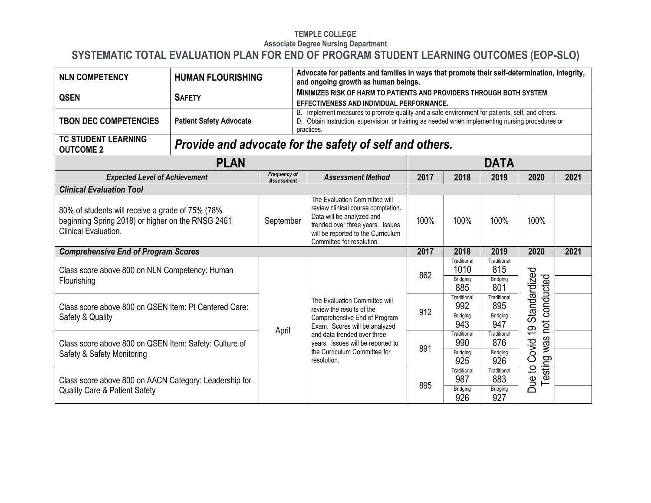| <b>NLN COMPETENCY</b>                                                                                                                | <b>HUMAN FLOURISHING</b>                                                         |           | Advocate for patients and families in ways that promote their self-determination, integrity,<br>and ongoing growth as human beings.                                                                                |      |                        |                        |                              |      |
|--------------------------------------------------------------------------------------------------------------------------------------|----------------------------------------------------------------------------------|-----------|--------------------------------------------------------------------------------------------------------------------------------------------------------------------------------------------------------------------|------|------------------------|------------------------|------------------------------|------|
| <b>QSEN</b>                                                                                                                          | <b>SAFETY</b>                                                                    |           | MINIMIZES RISK OF HARM TO PATIENTS AND PROVIDERS THROUGH BOTH SYSTEM<br>EFFECTIVENESS AND INDIVIDUAL PERFORMANCE.                                                                                                  |      |                        |                        |                              |      |
| <b>TBON DEC COMPETENCIES</b>                                                                                                         | <b>Patient Safety Advocate</b>                                                   |           | B. Implement measures to promote quality and a safe environment for patients, self, and others.<br>D. Obtain instruction, supervision, or training as needed when implementing nursing procedures or<br>practices. |      |                        |                        |                              |      |
| <b>TC STUDENT LEARNING</b><br><b>OUTCOME 2</b>                                                                                       |                                                                                  |           | Provide and advocate for the safety of self and others.                                                                                                                                                            |      |                        |                        |                              |      |
|                                                                                                                                      | <b>PLAN</b>                                                                      |           |                                                                                                                                                                                                                    |      |                        | DATA                   |                              |      |
|                                                                                                                                      | <b>Frequency of</b><br><b>Expected Level of Achievement</b><br><b>Assessment</b> |           |                                                                                                                                                                                                                    | 2017 | 2018                   | 2019                   | 2020                         | 2021 |
| <b>Clinical Evaluation Tool</b>                                                                                                      |                                                                                  |           |                                                                                                                                                                                                                    |      |                        |                        |                              |      |
| 80% of students will receive a grade of 75% (78%<br>beginning Spring 2018) or higher on the RNSG 2461<br><b>Clinical Evaluation.</b> |                                                                                  | September | The Evaluation Committee will<br>review clinical course completion.<br>Data will be analyzed and<br>trended over three years. Issues<br>will be reported to the Curriculum<br>Committee for resolution.            | 100% | 100%                   | 100%                   | 100%                         |      |
| <b>Comprehensive End of Program Scores</b>                                                                                           |                                                                                  |           |                                                                                                                                                                                                                    | 2017 | 2018                   | 2019                   | 2020                         | 2021 |
| Class score above 800 on NLN Competency: Human                                                                                       |                                                                                  |           |                                                                                                                                                                                                                    | 862  | Traditional<br>1010    | Traditional<br>815     |                              |      |
| Flourishing                                                                                                                          |                                                                                  |           |                                                                                                                                                                                                                    |      | Bridging<br>885        | <b>Bridging</b><br>801 | conducted                    |      |
| Class score above 800 on QSEN Item: Pt Centered Care:                                                                                |                                                                                  |           | The Evaluation Committee will<br>review the results of the                                                                                                                                                         | 912  | Traditional<br>992     | Traditional<br>895     |                              |      |
| Safety & Quality                                                                                                                     |                                                                                  | April     | Comprehensive End of Program<br>Exam. Scores will be analyzed                                                                                                                                                      |      | Bridging<br>943        | Bridging<br>947        | pot                          |      |
| Class score above 800 on QSEN Item: Safety: Culture of                                                                               |                                                                                  |           | and data trended over three<br>years. Issues will be reported to                                                                                                                                                   | 891  | Traditional<br>990     | Traditional<br>876     | Covid 19 Standardized<br>was |      |
| Safety & Safety Monitoring                                                                                                           |                                                                                  |           | the Curriculum Committee for<br>resolution.                                                                                                                                                                        |      | <b>Bridging</b><br>925 | <b>Bridging</b><br>926 |                              |      |
|                                                                                                                                      |                                                                                  |           |                                                                                                                                                                                                                    | 895  | Traditional<br>987     | Traditional<br>883     | Testing<br>Due to            |      |
| Class score above 800 on AACN Category: Leadership for<br><b>Quality Care &amp; Patient Safety</b>                                   |                                                                                  |           |                                                                                                                                                                                                                    |      | <b>Bridging</b><br>926 | Bridging<br>927        |                              |      |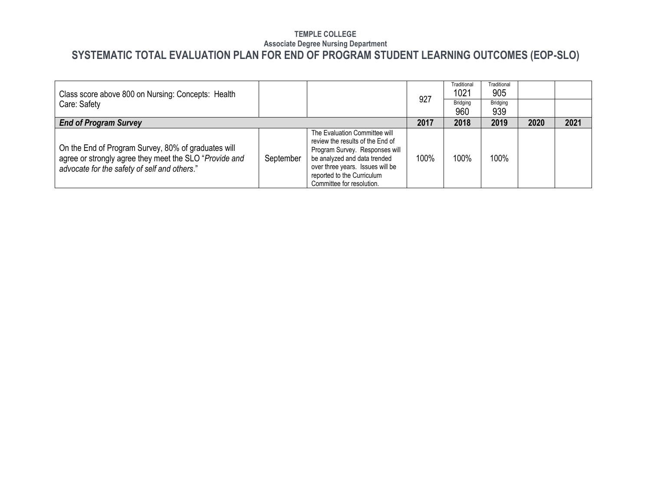| Class score above 800 on Nursing: Concepts: Health                                                                                                            |           |                                                                                                                                                                                                                                    | 927  | Traditional<br>1021 | Traditional<br>905 |      |      |
|---------------------------------------------------------------------------------------------------------------------------------------------------------------|-----------|------------------------------------------------------------------------------------------------------------------------------------------------------------------------------------------------------------------------------------|------|---------------------|--------------------|------|------|
| Care: Safety                                                                                                                                                  |           |                                                                                                                                                                                                                                    |      | Bridging<br>960     | Bridging<br>939    |      |      |
| <b>End of Program Survey</b>                                                                                                                                  |           |                                                                                                                                                                                                                                    | 2017 | 2018                | 2019               | 2020 | 2021 |
| On the End of Program Survey, 80% of graduates will<br>agree or strongly agree they meet the SLO "Provide and<br>advocate for the safety of self and others." | September | The Evaluation Committee will<br>review the results of the End of<br>Program Survey. Responses will<br>be analyzed and data trended<br>over three years. Issues will be<br>reported to the Curriculum<br>Committee for resolution. | 100% | 100%                | 100%               |      |      |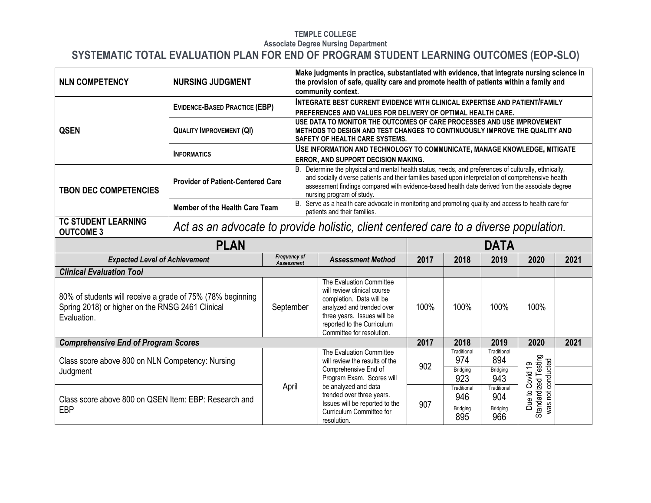| <b>NLN COMPETENCY</b>                                                                                                         | <b>NURSING JUDGMENT</b>                                                               |           |                                                                                                                                                                                                                                                                                                                                            | Make judgments in practice, substantiated with evidence, that integrate nursing science in<br>the provision of safe, quality care and promote health of patients within a family and<br>community context. |      |                                       |                                              |                                                              |      |  |
|-------------------------------------------------------------------------------------------------------------------------------|---------------------------------------------------------------------------------------|-----------|--------------------------------------------------------------------------------------------------------------------------------------------------------------------------------------------------------------------------------------------------------------------------------------------------------------------------------------------|------------------------------------------------------------------------------------------------------------------------------------------------------------------------------------------------------------|------|---------------------------------------|----------------------------------------------|--------------------------------------------------------------|------|--|
|                                                                                                                               | <b>EVIDENCE-BASED PRACTICE (EBP)</b>                                                  |           |                                                                                                                                                                                                                                                                                                                                            | <b>INTEGRATE BEST CURRENT EVIDENCE WITH CLINICAL EXPERTISE AND PATIENT/FAMILY</b><br>PREFERENCES AND VALUES FOR DELIVERY OF OPTIMAL HEALTH CARE.                                                           |      |                                       |                                              |                                                              |      |  |
| <b>QSEN</b>                                                                                                                   | <b>QUALITY IMPROVEMENT (QI)</b>                                                       |           |                                                                                                                                                                                                                                                                                                                                            | USE DATA TO MONITOR THE OUTCOMES OF CARE PROCESSES AND USE IMPROVEMENT<br>METHODS TO DESIGN AND TEST CHANGES TO CONTINUOUSLY IMPROVE THE QUALITY AND<br>SAFETY OF HEALTH CARE SYSTEMS.                     |      |                                       |                                              |                                                              |      |  |
|                                                                                                                               | <b>INFORMATICS</b>                                                                    |           | USE INFORMATION AND TECHNOLOGY TO COMMUNICATE, MANAGE KNOWLEDGE, MITIGATE<br>ERROR, AND SUPPORT DECISION MAKING.                                                                                                                                                                                                                           |                                                                                                                                                                                                            |      |                                       |                                              |                                                              |      |  |
| <b>TBON DEC COMPETENCIES</b>                                                                                                  | <b>Provider of Patient-Centered Care</b>                                              |           | B. Determine the physical and mental health status, needs, and preferences of culturally, ethnically,<br>and socially diverse patients and their families based upon interpretation of comprehensive health<br>assessment findings compared with evidence-based health date derived from the associate degree<br>nursing program of study. |                                                                                                                                                                                                            |      |                                       |                                              |                                                              |      |  |
|                                                                                                                               | <b>Member of the Health Care Team</b>                                                 |           | B. Serve as a health care advocate in monitoring and promoting quality and access to health care for<br>patients and their families.                                                                                                                                                                                                       |                                                                                                                                                                                                            |      |                                       |                                              |                                                              |      |  |
| <b>TC STUDENT LEARNING</b><br><b>OUTCOME 3</b>                                                                                | Act as an advocate to provide holistic, client centered care to a diverse population. |           |                                                                                                                                                                                                                                                                                                                                            |                                                                                                                                                                                                            |      |                                       |                                              |                                                              |      |  |
| <b>PLAN</b>                                                                                                                   |                                                                                       |           |                                                                                                                                                                                                                                                                                                                                            |                                                                                                                                                                                                            |      |                                       | <b>DATA</b>                                  |                                                              |      |  |
| <b>Expected Level of Achievement</b>                                                                                          |                                                                                       |           | <b>Frequency of</b><br><b>Assessment</b>                                                                                                                                                                                                                                                                                                   | <b>Assessment Method</b>                                                                                                                                                                                   | 2017 | 2018                                  | 2019                                         | 2020                                                         | 2021 |  |
| <b>Clinical Evaluation Tool</b>                                                                                               |                                                                                       |           |                                                                                                                                                                                                                                                                                                                                            |                                                                                                                                                                                                            |      |                                       |                                              |                                                              |      |  |
| 80% of students will receive a grade of 75% (78% beginning<br>Spring 2018) or higher on the RNSG 2461 Clinical<br>Evaluation. |                                                                                       | September |                                                                                                                                                                                                                                                                                                                                            | The Evaluation Committee<br>will review clinical course<br>completion. Data will be<br>analyzed and trended over<br>three years. Issues will be<br>reported to the Curriculum<br>Committee for resolution. | 100% | 100%                                  | 100%                                         | 100%                                                         |      |  |
| <b>Comprehensive End of Program Scores</b>                                                                                    |                                                                                       |           |                                                                                                                                                                                                                                                                                                                                            |                                                                                                                                                                                                            | 2017 | 2018                                  | 2019                                         | 2020                                                         | 2021 |  |
| Class score above 800 on NLN Competency: Nursing<br>Judgment                                                                  |                                                                                       |           |                                                                                                                                                                                                                                                                                                                                            | The Evaluation Committee<br>will review the results of the<br>Comprehensive End of<br>Program Exam. Scores will                                                                                            | 902  | Traditional<br>974<br>Bridging<br>923 | Traditional<br>894<br><b>Bridging</b><br>943 |                                                              |      |  |
| Class score above 800 on QSEN Item: EBP: Research and<br><b>EBP</b>                                                           |                                                                                       | April     |                                                                                                                                                                                                                                                                                                                                            | be analyzed and data<br>trended over three years.<br>Issues will be reported to the<br>Curriculum Committee for<br>resolution.                                                                             | 907  | Traditional<br>946<br>Bridging<br>895 | Traditional<br>904<br>Bridging<br>966        | Standardized Testing<br>was not conducted<br>Due to Covid 19 |      |  |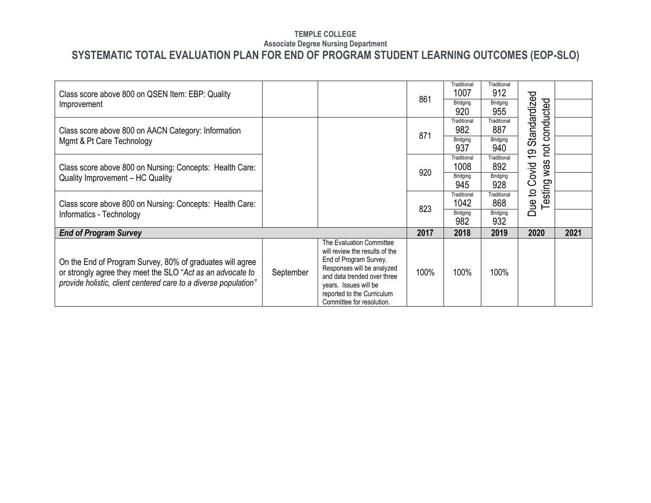| Class score above 800 on QSEN Item: EBP: Quality                                                                                                                                           |           |                                                                                                                                                                                                                                       | 861  | Traditional<br>1007    | Traditional<br>912 |                           |      |
|--------------------------------------------------------------------------------------------------------------------------------------------------------------------------------------------|-----------|---------------------------------------------------------------------------------------------------------------------------------------------------------------------------------------------------------------------------------------|------|------------------------|--------------------|---------------------------|------|
| Improvement                                                                                                                                                                                |           |                                                                                                                                                                                                                                       |      | <b>Bridging</b><br>920 | Bridging<br>955    |                           |      |
| Class score above 800 on AACN Category: Information                                                                                                                                        |           |                                                                                                                                                                                                                                       | 871  | Traditional<br>982     | Traditional<br>887 | Standardized<br>conducted |      |
| Mgmt & Pt Care Technology                                                                                                                                                                  |           |                                                                                                                                                                                                                                       |      | Bridging<br>937        | Bridging<br>940    | hot<br>$\overline{0}$     |      |
| Class score above 800 on Nursing: Concepts: Health Care:                                                                                                                                   |           |                                                                                                                                                                                                                                       | 920  | Traditional<br>1008    | Traditional<br>892 | was                       |      |
| Quality Improvement - HC Quality                                                                                                                                                           |           |                                                                                                                                                                                                                                       |      | Bridging<br>945        | Bridging<br>928    | Covid<br>sting            |      |
| Class score above 800 on Nursing: Concepts: Health Care:                                                                                                                                   |           |                                                                                                                                                                                                                                       | 823  | Traditional<br>1042    | Traditional<br>868 | $\mathbf{Q}$<br>Due<br>ق  |      |
| Informatics - Technology                                                                                                                                                                   |           |                                                                                                                                                                                                                                       |      | Bridging<br>982        | Bridging<br>932    |                           |      |
| <b>End of Program Survey</b>                                                                                                                                                               |           |                                                                                                                                                                                                                                       | 2017 | 2018                   | 2019               | 2020                      | 2021 |
| On the End of Program Survey, 80% of graduates will agree<br>or strongly agree they meet the SLO "Act as an advocate to<br>provide holistic, client centered care to a diverse population" | September | The Evaluation Committee<br>will review the results of the<br>End of Program Survey.<br>Responses will be analyzed<br>and data trended over three<br>years. Issues will be<br>reported to the Curriculum<br>Committee for resolution. | 100% | 100%                   | 100%               |                           |      |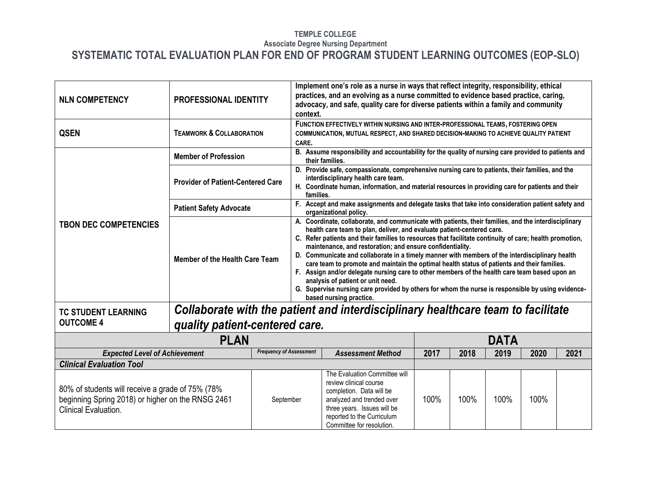| <b>NLN COMPETENCY</b>                                                                                                         | PROFESSIONAL IDENTITY                    |                                | context.                                                                                                                                                                                                                                                                                                                                                                                                                                                                                                                                                                                                                                                                                                                                                                                                                      | Implement one's role as a nurse in ways that reflect integrity, responsibility, ethical<br>practices, and an evolving as a nurse committed to evidence based practice, caring,<br>advocacy, and safe, quality care for diverse patients within a family and community |      |      |             |      |      |  |  |  |
|-------------------------------------------------------------------------------------------------------------------------------|------------------------------------------|--------------------------------|-------------------------------------------------------------------------------------------------------------------------------------------------------------------------------------------------------------------------------------------------------------------------------------------------------------------------------------------------------------------------------------------------------------------------------------------------------------------------------------------------------------------------------------------------------------------------------------------------------------------------------------------------------------------------------------------------------------------------------------------------------------------------------------------------------------------------------|-----------------------------------------------------------------------------------------------------------------------------------------------------------------------------------------------------------------------------------------------------------------------|------|------|-------------|------|------|--|--|--|
| <b>QSEN</b>                                                                                                                   | <b>TEAMWORK &amp; COLLABORATION</b>      |                                | CARE.                                                                                                                                                                                                                                                                                                                                                                                                                                                                                                                                                                                                                                                                                                                                                                                                                         | FUNCTION EFFECTIVELY WITHIN NURSING AND INTER-PROFESSIONAL TEAMS, FOSTERING OPEN<br>COMMUNICATION, MUTUAL RESPECT, AND SHARED DECISION-MAKING TO ACHIEVE QUALITY PATIENT                                                                                              |      |      |             |      |      |  |  |  |
|                                                                                                                               | <b>Member of Profession</b>              |                                |                                                                                                                                                                                                                                                                                                                                                                                                                                                                                                                                                                                                                                                                                                                                                                                                                               | B. Assume responsibility and accountability for the quality of nursing care provided to patients and<br>their families.                                                                                                                                               |      |      |             |      |      |  |  |  |
|                                                                                                                               | <b>Provider of Patient-Centered Care</b> |                                | families.                                                                                                                                                                                                                                                                                                                                                                                                                                                                                                                                                                                                                                                                                                                                                                                                                     | D. Provide safe, compassionate, comprehensive nursing care to patients, their families, and the<br>interdisciplinary health care team.<br>H. Coordinate human, information, and material resources in providing care for patients and their                           |      |      |             |      |      |  |  |  |
|                                                                                                                               | <b>Patient Safety Advocate</b>           |                                |                                                                                                                                                                                                                                                                                                                                                                                                                                                                                                                                                                                                                                                                                                                                                                                                                               | F. Accept and make assignments and delegate tasks that take into consideration patient safety and<br>organizational policy.                                                                                                                                           |      |      |             |      |      |  |  |  |
| <b>TBON DEC COMPETENCIES</b>                                                                                                  | Member of the Health Care Team           |                                | A. Coordinate, collaborate, and communicate with patients, their families, and the interdisciplinary<br>health care team to plan, deliver, and evaluate patient-centered care.<br>C. Refer patients and their families to resources that facilitate continuity of care; health promotion,<br>maintenance, and restoration; and ensure confidentiality.<br>D. Communicate and collaborate in a timely manner with members of the interdisciplinary health<br>care team to promote and maintain the optimal health status of patients and their families.<br>F. Assign and/or delegate nursing care to other members of the health care team based upon an<br>analysis of patient or unit need.<br>G. Supervise nursing care provided by others for whom the nurse is responsible by using evidence-<br>based nursing practice. |                                                                                                                                                                                                                                                                       |      |      |             |      |      |  |  |  |
| <b>TC STUDENT LEARNING</b>                                                                                                    |                                          |                                |                                                                                                                                                                                                                                                                                                                                                                                                                                                                                                                                                                                                                                                                                                                                                                                                                               | Collaborate with the patient and interdisciplinary healthcare team to facilitate                                                                                                                                                                                      |      |      |             |      |      |  |  |  |
| <b>OUTCOME 4</b>                                                                                                              | quality patient-centered care.           |                                |                                                                                                                                                                                                                                                                                                                                                                                                                                                                                                                                                                                                                                                                                                                                                                                                                               |                                                                                                                                                                                                                                                                       |      |      |             |      |      |  |  |  |
|                                                                                                                               | <b>PLAN</b>                              |                                |                                                                                                                                                                                                                                                                                                                                                                                                                                                                                                                                                                                                                                                                                                                                                                                                                               |                                                                                                                                                                                                                                                                       |      |      | <b>DATA</b> |      |      |  |  |  |
| <b>Expected Level of Achievement</b>                                                                                          |                                          | <b>Frequency of Assessment</b> |                                                                                                                                                                                                                                                                                                                                                                                                                                                                                                                                                                                                                                                                                                                                                                                                                               | <b>Assessment Method</b>                                                                                                                                                                                                                                              | 2017 | 2018 | 2019        | 2020 | 2021 |  |  |  |
| <b>Clinical Evaluation Tool</b>                                                                                               |                                          |                                |                                                                                                                                                                                                                                                                                                                                                                                                                                                                                                                                                                                                                                                                                                                                                                                                                               |                                                                                                                                                                                                                                                                       |      |      |             |      |      |  |  |  |
| 80% of students will receive a grade of 75% (78%<br>beginning Spring 2018) or higher on the RNSG 2461<br>Clinical Evaluation. |                                          | September                      |                                                                                                                                                                                                                                                                                                                                                                                                                                                                                                                                                                                                                                                                                                                                                                                                                               | The Evaluation Committee will<br>review clinical course<br>completion. Data will be<br>analyzed and trended over<br>three years. Issues will be<br>reported to the Curriculum<br>Committee for resolution.                                                            | 100% | 100% | 100%        | 100% |      |  |  |  |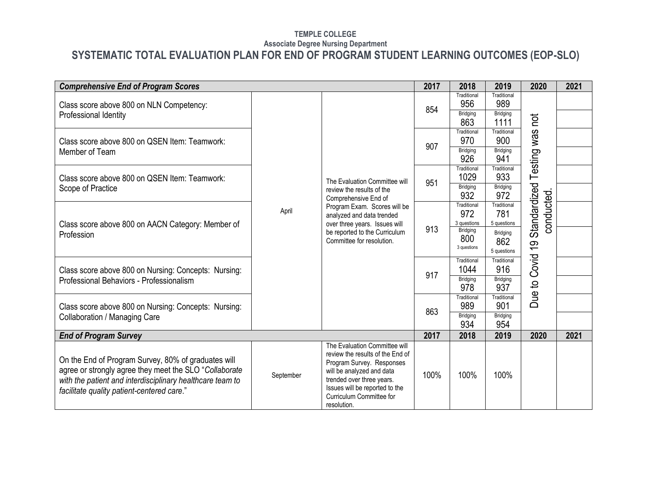| <b>Comprehensive End of Program Scores</b>                                                                                                                                                                               |           |                                                                                                                                                                                                                                       | 2017 | 2018                    | 2019                                  | 2020                                                                                     | 2021 |  |
|--------------------------------------------------------------------------------------------------------------------------------------------------------------------------------------------------------------------------|-----------|---------------------------------------------------------------------------------------------------------------------------------------------------------------------------------------------------------------------------------------|------|-------------------------|---------------------------------------|------------------------------------------------------------------------------------------|------|--|
| Class score above 800 on NLN Competency:                                                                                                                                                                                 |           |                                                                                                                                                                                                                                       | 854  | Traditional<br>956      | Traditional<br>989                    |                                                                                          |      |  |
| Professional Identity                                                                                                                                                                                                    |           |                                                                                                                                                                                                                                       |      | <b>Bridging</b><br>863  | <b>Bridging</b><br>1111               | hot<br>Testing was<br>Standardized<br>conducted<br>Covid <sub>19</sub><br>Due to<br>2020 |      |  |
| Class score above 800 on QSEN Item: Teamwork:                                                                                                                                                                            |           |                                                                                                                                                                                                                                       |      | Traditional<br>970      | Traditional<br>900                    |                                                                                          |      |  |
| Member of Team                                                                                                                                                                                                           |           |                                                                                                                                                                                                                                       | 907  | Bridging<br>926         | Bridging<br>941                       |                                                                                          |      |  |
| Class score above 800 on QSEN Item: Teamwork:                                                                                                                                                                            |           | The Evaluation Committee will                                                                                                                                                                                                         | 951  | Traditional<br>1029     | Traditional<br>933                    |                                                                                          |      |  |
| Scope of Practice                                                                                                                                                                                                        | April     | review the results of the<br>Comprehensive End of                                                                                                                                                                                     |      | Bridging<br>932         | Bridging<br>972                       |                                                                                          |      |  |
|                                                                                                                                                                                                                          |           | Program Exam. Scores will be<br>analyzed and data trended                                                                                                                                                                             |      | Traditional<br>972      | Traditional<br>781                    |                                                                                          |      |  |
| Class score above 800 on AACN Category: Member of                                                                                                                                                                        |           | over three years. Issues will                                                                                                                                                                                                         | 913  | 3 questions<br>Bridging | 5 questions                           |                                                                                          |      |  |
| Profession                                                                                                                                                                                                               |           | be reported to the Curriculum<br>Committee for resolution.                                                                                                                                                                            |      | 800<br>3 questions      | <b>Bridging</b><br>862<br>5 questions |                                                                                          |      |  |
| Class score above 800 on Nursing: Concepts: Nursing:                                                                                                                                                                     |           |                                                                                                                                                                                                                                       |      | Traditional<br>1044     | Traditional<br>916                    |                                                                                          |      |  |
| Professional Behaviors - Professionalism                                                                                                                                                                                 |           |                                                                                                                                                                                                                                       | 917  | Bridging<br>978         | Bridging<br>937                       |                                                                                          |      |  |
| Class score above 800 on Nursing: Concepts: Nursing:                                                                                                                                                                     |           |                                                                                                                                                                                                                                       |      | Traditional<br>989      | Traditional<br>901                    |                                                                                          |      |  |
| Collaboration / Managing Care                                                                                                                                                                                            |           |                                                                                                                                                                                                                                       | 863  | Bridging<br>934         | Bridging<br>954                       |                                                                                          |      |  |
| <b>End of Program Survey</b>                                                                                                                                                                                             |           |                                                                                                                                                                                                                                       | 2017 | 2018                    | 2019                                  |                                                                                          | 2021 |  |
| On the End of Program Survey, 80% of graduates will<br>agree or strongly agree they meet the SLO "Collaborate<br>with the patient and interdisciplinary healthcare team to<br>facilitate quality patient-centered care." | September | The Evaluation Committee will<br>review the results of the End of<br>Program Survey. Responses<br>will be analyzed and data<br>trended over three years.<br>Issues will be reported to the<br>Curriculum Committee for<br>resolution. | 100% | 100%                    | 100%                                  |                                                                                          |      |  |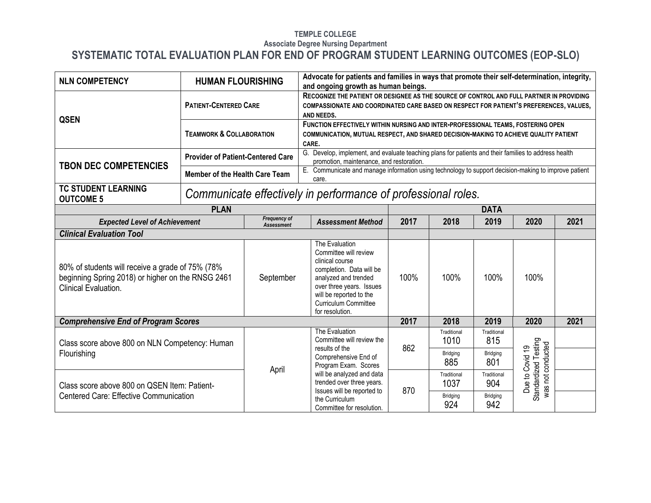| <b>NLN COMPETENCY</b>                                                                                                          | <b>HUMAN FLOURISHING</b>                 |                                          | Advocate for patients and families in ways that promote their self-determination, integrity,<br>and ongoing growth as human beings.                                                                                                                      |                                                                                                                                                                                    |                     |                    |                                                              |      |  |
|--------------------------------------------------------------------------------------------------------------------------------|------------------------------------------|------------------------------------------|----------------------------------------------------------------------------------------------------------------------------------------------------------------------------------------------------------------------------------------------------------|------------------------------------------------------------------------------------------------------------------------------------------------------------------------------------|---------------------|--------------------|--------------------------------------------------------------|------|--|
| <b>QSEN</b>                                                                                                                    | <b>PATIENT-CENTERED CARE</b>             |                                          | AND NEEDS.                                                                                                                                                                                                                                               | RECOGNIZE THE PATIENT OR DESIGNEE AS THE SOURCE OF CONTROL AND FULL PARTNER IN PROVIDING<br>COMPASSIONATE AND COORDINATED CARE BASED ON RESPECT FOR PATIENT'S PREFERENCES, VALUES, |                     |                    |                                                              |      |  |
|                                                                                                                                | <b>TEAMWORK &amp; COLLABORATION</b>      |                                          | FUNCTION EFFECTIVELY WITHIN NURSING AND INTER-PROFESSIONAL TEAMS, FOSTERING OPEN<br>COMMUNICATION, MUTUAL RESPECT, AND SHARED DECISION-MAKING TO ACHIEVE QUALITY PATIENT<br>CARE.                                                                        |                                                                                                                                                                                    |                     |                    |                                                              |      |  |
| <b>TBON DEC COMPETENCIES</b>                                                                                                   | <b>Provider of Patient-Centered Care</b> |                                          | G. Develop, implement, and evaluate teaching plans for patients and their families to address health<br>promotion, maintenance, and restoration.<br>E. Communicate and manage information using technology to support decision-making to improve patient |                                                                                                                                                                                    |                     |                    |                                                              |      |  |
|                                                                                                                                | Member of the Health Care Team           |                                          | care.                                                                                                                                                                                                                                                    |                                                                                                                                                                                    |                     |                    |                                                              |      |  |
| <b>TC STUDENT LEARNING</b><br><b>OUTCOME 5</b>                                                                                 |                                          |                                          | Communicate effectively in performance of professional roles.                                                                                                                                                                                            |                                                                                                                                                                                    |                     |                    |                                                              |      |  |
|                                                                                                                                | <b>PLAN</b>                              |                                          |                                                                                                                                                                                                                                                          |                                                                                                                                                                                    |                     | <b>DATA</b>        |                                                              |      |  |
| <b>Expected Level of Achievement</b>                                                                                           |                                          | <b>Frequency of</b><br><b>Assessment</b> | <b>Assessment Method</b><br>2017<br>2018<br>2019<br>2020<br>2021                                                                                                                                                                                         |                                                                                                                                                                                    |                     |                    |                                                              |      |  |
| <b>Clinical Evaluation Tool</b>                                                                                                |                                          |                                          |                                                                                                                                                                                                                                                          |                                                                                                                                                                                    |                     |                    |                                                              |      |  |
| 80% of students will receive a grade of 75% (78%)<br>beginning Spring 2018) or higher on the RNSG 2461<br>Clinical Evaluation. |                                          | September                                | The Evaluation<br>Committee will review<br>clinical course<br>completion. Data will be<br>analyzed and trended<br>over three years. Issues<br>will be reported to the<br><b>Curriculum Committee</b><br>for resolution.                                  | 100%                                                                                                                                                                               | 100%                | 100%               | 100%                                                         |      |  |
| <b>Comprehensive End of Program Scores</b>                                                                                     |                                          |                                          |                                                                                                                                                                                                                                                          | 2017                                                                                                                                                                               | 2018                | 2019               | 2020                                                         | 2021 |  |
| Class score above 800 on NLN Competency: Human                                                                                 |                                          |                                          | The Evaluation<br>Committee will review the<br>results of the                                                                                                                                                                                            | 862                                                                                                                                                                                | Traditional<br>1010 | Traditional<br>815 |                                                              |      |  |
| Flourishing                                                                                                                    |                                          |                                          | Comprehensive End of<br>Program Exam. Scores                                                                                                                                                                                                             |                                                                                                                                                                                    | Bridging<br>885     | Bridging<br>801    |                                                              |      |  |
| Class score above 800 on QSEN Item: Patient-                                                                                   |                                          | April                                    | will be analyzed and data<br>trended over three years.<br>Issues will be reported to                                                                                                                                                                     | 870                                                                                                                                                                                | Traditional<br>1037 | Traditional<br>904 | Standardized Testing<br>was not conducted<br>Due to Covid 19 |      |  |
| <b>Centered Care: Effective Communication</b>                                                                                  |                                          |                                          | the Curriculum<br>Committee for resolution.                                                                                                                                                                                                              |                                                                                                                                                                                    | Bridging<br>924     | Bridging<br>942    |                                                              |      |  |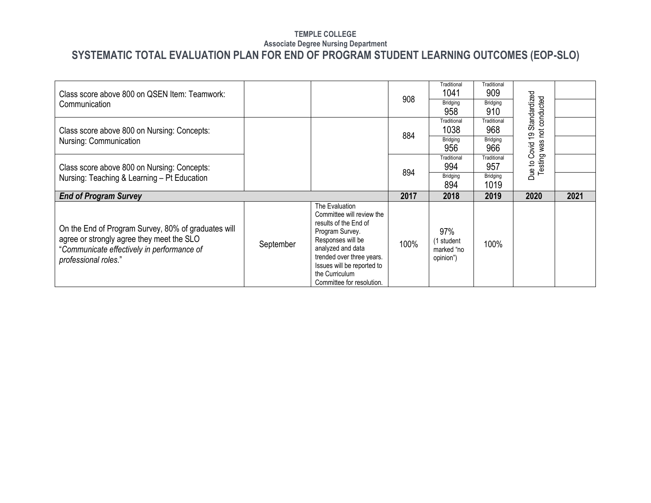| Class score above 800 on QSEN Item: Teamwork:                                                                                                                          |           |                                                                                                                                                                                                                | 908  | Traditional<br>1041                          | Traditional<br>909      |                           |      |
|------------------------------------------------------------------------------------------------------------------------------------------------------------------------|-----------|----------------------------------------------------------------------------------------------------------------------------------------------------------------------------------------------------------------|------|----------------------------------------------|-------------------------|---------------------------|------|
| Communication                                                                                                                                                          |           |                                                                                                                                                                                                                |      | Bridging<br>958                              | Bridging<br>910         | Standardized<br>conducted |      |
| Class score above 800 on Nursing: Concepts:                                                                                                                            |           |                                                                                                                                                                                                                | 884  | Traditional<br>1038                          | Traditional<br>968      | not<br>စ္                 |      |
| Nursing: Communication                                                                                                                                                 |           |                                                                                                                                                                                                                |      | Bridging<br>956                              | Bridging<br>966         | was<br>Covid              |      |
| Class score above 800 on Nursing: Concepts:                                                                                                                            |           |                                                                                                                                                                                                                | 894  | Traditional<br>994                           | Traditional<br>957      | Testing<br>Due to         |      |
| Nursing: Teaching & Learning - Pt Education                                                                                                                            |           |                                                                                                                                                                                                                |      | Bridging<br>894                              | <b>Bridging</b><br>1019 |                           |      |
| <b>End of Program Survey</b>                                                                                                                                           |           |                                                                                                                                                                                                                | 2017 | 2018                                         | 2019                    | 2020                      | 2021 |
| On the End of Program Survey, 80% of graduates will<br>agree or strongly agree they meet the SLO<br>"Communicate effectively in performance of<br>professional roles." | September | The Evaluation<br>Committee will review the<br>results of the End of<br>Program Survey.<br>Responses will be<br>analyzed and data<br>trended over three years.<br>Issues will be reported to<br>the Curriculum | 100% | 97%<br>(1 student<br>marked "no<br>opinion") | 100%                    |                           |      |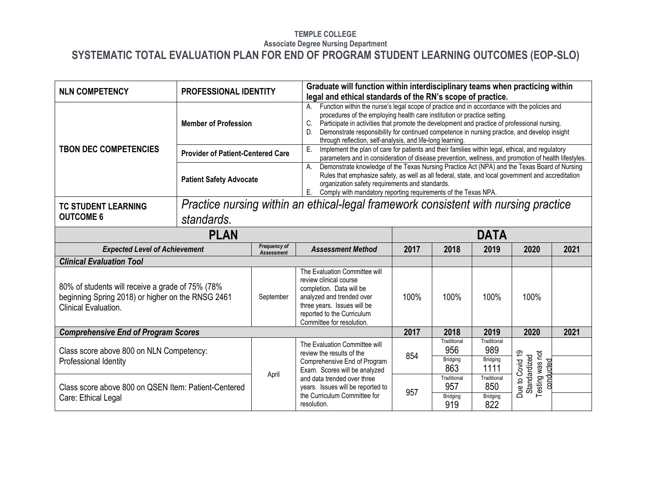| <b>NLN COMPETENCY</b>                                                                                                         | <b>PROFESSIONAL IDENTITY</b>             |                                                                                     | Graduate will function within interdisciplinary teams when practicing within<br>legal and ethical standards of the RN's scope of practice.                                                                                                                                                                                                                                                                                                              |      |                                       |                                        |                                                    |      |  |
|-------------------------------------------------------------------------------------------------------------------------------|------------------------------------------|-------------------------------------------------------------------------------------|---------------------------------------------------------------------------------------------------------------------------------------------------------------------------------------------------------------------------------------------------------------------------------------------------------------------------------------------------------------------------------------------------------------------------------------------------------|------|---------------------------------------|----------------------------------------|----------------------------------------------------|------|--|
|                                                                                                                               | <b>Member of Profession</b>              |                                                                                     | Function within the nurse's legal scope of practice and in accordance with the policies and<br>A.<br>procedures of the employing health care institution or practice setting.<br>C.<br>Participate in activities that promote the development and practice of professional nursing.<br>Demonstrate responsibility for continued competence in nursing practice, and develop insight<br>D.<br>through reflection, self-analysis, and life-long learning. |      |                                       |                                        |                                                    |      |  |
| <b>TBON DEC COMPETENCIES</b>                                                                                                  | <b>Provider of Patient-Centered Care</b> |                                                                                     | Implement the plan of care for patients and their families within legal, ethical, and regulatory<br>Ε.<br>parameters and in consideration of disease prevention, wellness, and promotion of health lifestyles.                                                                                                                                                                                                                                          |      |                                       |                                        |                                                    |      |  |
|                                                                                                                               | <b>Patient Safety Advocate</b>           |                                                                                     | Demonstrate knowledge of the Texas Nursing Practice Act (NPA) and the Texas Board of Nursing<br>$A_{1}$<br>Rules that emphasize safety, as well as all federal, state, and local government and accreditation<br>organization safety requirements and standards.<br>E.<br>Comply with mandatory reporting requirements of the Texas NPA.                                                                                                                |      |                                       |                                        |                                                    |      |  |
| <b>TC STUDENT LEARNING</b>                                                                                                    |                                          | Practice nursing within an ethical-legal framework consistent with nursing practice |                                                                                                                                                                                                                                                                                                                                                                                                                                                         |      |                                       |                                        |                                                    |      |  |
| <b>OUTCOME 6</b>                                                                                                              | standards.                               |                                                                                     |                                                                                                                                                                                                                                                                                                                                                                                                                                                         |      |                                       |                                        |                                                    |      |  |
| <b>PLAN</b>                                                                                                                   |                                          |                                                                                     |                                                                                                                                                                                                                                                                                                                                                                                                                                                         |      |                                       | <b>DATA</b>                            |                                                    |      |  |
| <b>Expected Level of Achievement</b>                                                                                          |                                          | Frequency of<br><b>Assessment</b>                                                   | <b>Assessment Method</b>                                                                                                                                                                                                                                                                                                                                                                                                                                | 2017 | 2018                                  | 2019                                   | 2020                                               | 2021 |  |
| <b>Clinical Evaluation Tool</b>                                                                                               |                                          |                                                                                     |                                                                                                                                                                                                                                                                                                                                                                                                                                                         |      |                                       |                                        |                                                    |      |  |
| 80% of students will receive a grade of 75% (78%<br>beginning Spring 2018) or higher on the RNSG 2461<br>Clinical Evaluation. |                                          | September                                                                           | The Evaluation Committee will<br>review clinical course<br>completion. Data will be<br>analyzed and trended over<br>three years. Issues will be<br>reported to the Curriculum<br>Committee for resolution.                                                                                                                                                                                                                                              | 100% | 100%                                  | 100%                                   | 100%                                               |      |  |
| <b>Comprehensive End of Program Scores</b>                                                                                    |                                          |                                                                                     |                                                                                                                                                                                                                                                                                                                                                                                                                                                         | 2017 | 2018                                  | 2019                                   | 2020                                               | 2021 |  |
| Class score above 800 on NLN Competency:<br>Professional Identity                                                             |                                          |                                                                                     | The Evaluation Committee will<br>review the results of the<br>Comprehensive End of Program<br>Exam. Scores will be analyzed                                                                                                                                                                                                                                                                                                                             | 854  | Traditional<br>956<br>Bridging<br>863 | Traditional<br>989<br>Bridging<br>1111 | conducted                                          |      |  |
| Class score above 800 on QSEN Item: Patient-Centered<br>Care: Ethical Legal                                                   |                                          | April                                                                               | and data trended over three<br>years. Issues will be reported to<br>the Curriculum Committee for<br>resolution.                                                                                                                                                                                                                                                                                                                                         | 957  | Traditional<br>957<br>Bridging<br>919 | Traditional<br>850<br>Bridging<br>822  | Due to Covid 19<br>Testing was not<br>Standardized |      |  |